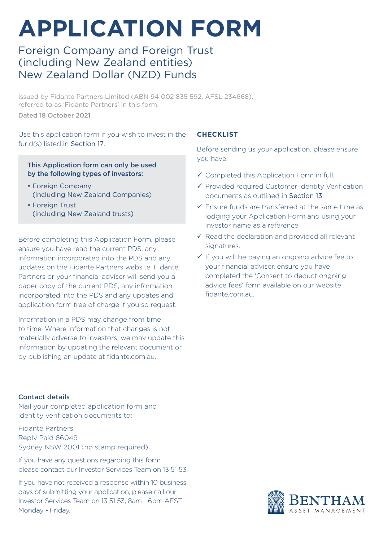# **APPLICATION FORM**

# Foreign Company and Foreign Trust (including New Zealand entities) New Zealand Dollar (NZD) Funds

Issued by Fidante Partners Limited (ABN 94 002 835 592, AFSL 234668), referred to as 'Fidante Partners' in this form.

Dated 18 October 2021

Use this application form if you wish to invest in the fund(s) listed in Section 17.

#### This Application form can only be used by the following types of investors:

- Foreign Company (including New Zealand Companies)
- Foreign Trust (including New Zealand trusts)

Before completing this Application Form, please ensure you have read the current PDS, any information incorporated into the PDS and any updates on the Fidante Partners website. Fidante Partners or your financial adviser will send you a paper copy of the current PDS, any information incorporated into the PDS and any updates and application form free of charge if you so request.

Information in a PDS may change from time to time. Where information that changes is not materially adverse to investors, we may update this information by updating the relevant document or by publishing an update at fidante.com.au.

#### Contact details

Mail your completed application form and identity verification documents to:

Fidante Partners Reply Paid 86049 Sydney NSW 2001 (no stamp required)

If you have any questions regarding this form please contact our Investor Services Team on 13 51 53.

If you have not received a response within 10 business days of submitting your application, please call our Investor Services Team on 13 51 53, 8am - 6pm AEST, Monday - Friday.

#### **CHECKLIST**

Before sending us your application, please ensure you have:

- $\checkmark$  Completed this Application Form in full.
- $\checkmark$  Provided required Customer Identity Verification documents as outlined in Section 13.
- $\checkmark$  Fnsure funds are transferred at the same time as lodging your Application Form and using your investor name as a reference.
- $\checkmark$  Read the declaration and provided all relevant signatures.
- $\checkmark$  If you will be paying an ongoing advice fee to your financial adviser, ensure you have completed the 'Consent to deduct ongoing advice fees' form available on our website fidante.com.au.

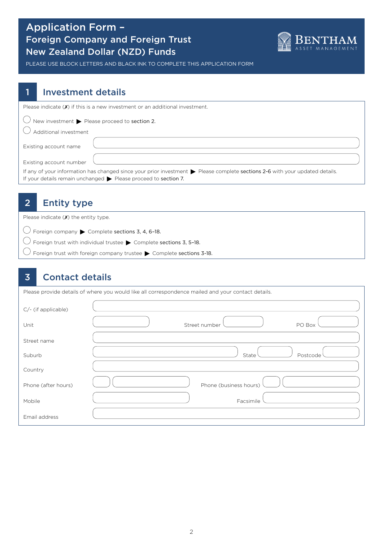# Application Form – Foreign Company and Foreign Trust New Zealand Dollar (NZD) Funds



PLEASE USE BLOCK LETTERS AND BLACK INK TO COMPLETE THIS APPLICATION FORM

### 1 Investment details

| Please indicate $(\boldsymbol{x})$ if this is a new investment or an additional investment.                                                                                                                    |
|----------------------------------------------------------------------------------------------------------------------------------------------------------------------------------------------------------------|
| $\bigcup$ New investment $\blacktriangleright$ Please proceed to section 2.                                                                                                                                    |
| Additional investment                                                                                                                                                                                          |
| Existing account name                                                                                                                                                                                          |
| Existing account number                                                                                                                                                                                        |
| If any of your information has changed since your prior investment > Please complete sections 2-6 with your updated details.<br>If your details remain unchanged $\triangleright$ Please proceed to section 7. |

# 2 Entity type

Please indicate  $(X)$  the entity type.

 $\bigcirc$  Foreign company  $\blacktriangleright$  Complete sections 3, 4, 6-18.

 $\bigcirc$  Foreign trust with individual trustee  $\blacktriangleright$  Complete sections 3, 5-18.

 $\bigcirc$  Foreign trust with foreign company trustee  $\blacktriangleright$  Complete sections 3-18.

### 3 Contact details

| Please provide details of where you would like all correspondence mailed and your contact details. |                         |  |  |  |  |
|----------------------------------------------------------------------------------------------------|-------------------------|--|--|--|--|
| C/- (if applicable)                                                                                |                         |  |  |  |  |
| Unit                                                                                               | Street number<br>PO Box |  |  |  |  |
| Street name                                                                                        |                         |  |  |  |  |
| Suburb                                                                                             | Postcode<br>State       |  |  |  |  |
| Country                                                                                            |                         |  |  |  |  |
| Phone (after hours)                                                                                | Phone (business hours)  |  |  |  |  |
| Mobile                                                                                             | Facsimile               |  |  |  |  |
| Email address                                                                                      |                         |  |  |  |  |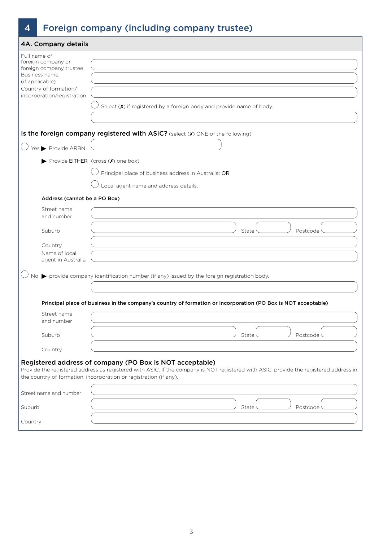# 4 Foreign company (including company trustee)

| 4A. Company details                                                                                                                                      |                                                                                                                                                                                                                                                                        |
|----------------------------------------------------------------------------------------------------------------------------------------------------------|------------------------------------------------------------------------------------------------------------------------------------------------------------------------------------------------------------------------------------------------------------------------|
| Full name of<br>foreign company or<br>foreign company trustee<br>Business name<br>(if applicable)<br>Country of formation/<br>incorporation/registration |                                                                                                                                                                                                                                                                        |
|                                                                                                                                                          | Select $(X)$ if registered by a foreign body and provide name of body.                                                                                                                                                                                                 |
|                                                                                                                                                          | Is the foreign company registered with ASIC? (select (X) ONE of the following)                                                                                                                                                                                         |
| Yes Provide ARBN                                                                                                                                         |                                                                                                                                                                                                                                                                        |
|                                                                                                                                                          | Provide EITHER (cross (X) one box)                                                                                                                                                                                                                                     |
|                                                                                                                                                          | Principal place of business address in Australia; OR                                                                                                                                                                                                                   |
|                                                                                                                                                          | Local agent name and address details.                                                                                                                                                                                                                                  |
| Address (cannot be a PO Box)                                                                                                                             |                                                                                                                                                                                                                                                                        |
| Street name<br>and number                                                                                                                                |                                                                                                                                                                                                                                                                        |
| Suburb                                                                                                                                                   | State<br>Postcode                                                                                                                                                                                                                                                      |
| Country                                                                                                                                                  |                                                                                                                                                                                                                                                                        |
| Name of local<br>agent in Australia                                                                                                                      |                                                                                                                                                                                                                                                                        |
|                                                                                                                                                          | No > provide company identification number (if any) issued by the foreign registration body.                                                                                                                                                                           |
|                                                                                                                                                          |                                                                                                                                                                                                                                                                        |
|                                                                                                                                                          | Principal place of business in the company's country of formation or incorporation (PO Box is NOT acceptable)                                                                                                                                                          |
| Street name<br>and number                                                                                                                                |                                                                                                                                                                                                                                                                        |
| Suburb                                                                                                                                                   | State<br>Postcode                                                                                                                                                                                                                                                      |
| Country                                                                                                                                                  |                                                                                                                                                                                                                                                                        |
|                                                                                                                                                          | Registered address of company (PO Box is NOT acceptable)<br>Provide the registered address as registered with ASIC. If the company is NOT registered with ASIC, provide the registered address in<br>the country of formation, incorporation or registration (if any). |
| Street name and number                                                                                                                                   |                                                                                                                                                                                                                                                                        |
| Suburb                                                                                                                                                   | State<br>Postcode                                                                                                                                                                                                                                                      |
| Country                                                                                                                                                  |                                                                                                                                                                                                                                                                        |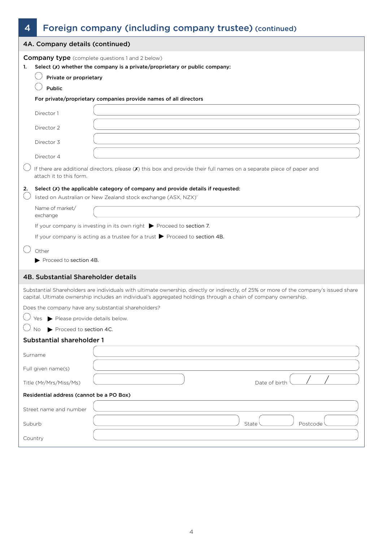# 4 Foreign company (including company trustee) (continued)

|        | 4A. Company details (continued)                                                                                                      |                                                                                                                                                                                                                                                          |  |  |  |  |
|--------|--------------------------------------------------------------------------------------------------------------------------------------|----------------------------------------------------------------------------------------------------------------------------------------------------------------------------------------------------------------------------------------------------------|--|--|--|--|
| 1.     | <b>Company type</b> (complete questions 1 and 2 below)<br>Select (X) whether the company is a private/proprietary or public company: |                                                                                                                                                                                                                                                          |  |  |  |  |
|        | Private or proprietary                                                                                                               |                                                                                                                                                                                                                                                          |  |  |  |  |
|        | Public                                                                                                                               |                                                                                                                                                                                                                                                          |  |  |  |  |
|        |                                                                                                                                      | For private/proprietary companies provide names of all directors                                                                                                                                                                                         |  |  |  |  |
|        | Director 1                                                                                                                           |                                                                                                                                                                                                                                                          |  |  |  |  |
|        | Director 2                                                                                                                           |                                                                                                                                                                                                                                                          |  |  |  |  |
|        | Director 3                                                                                                                           |                                                                                                                                                                                                                                                          |  |  |  |  |
|        | Director 4                                                                                                                           |                                                                                                                                                                                                                                                          |  |  |  |  |
|        | attach it to this form.                                                                                                              | If there are additional directors, please (X) this box and provide their full names on a separate piece of paper and                                                                                                                                     |  |  |  |  |
| 2.     |                                                                                                                                      | Select (X) the applicable category of company and provide details if requested:<br>listed on Australian or New Zealand stock exchange (ASX, NZX)'                                                                                                        |  |  |  |  |
|        | Name of market/<br>exchange                                                                                                          |                                                                                                                                                                                                                                                          |  |  |  |  |
|        |                                                                                                                                      | If your company is investing in its own right $\triangleright$ Proceed to section 7.                                                                                                                                                                     |  |  |  |  |
|        |                                                                                                                                      | If your company is acting as a trustee for a trust $\triangleright$ Proceed to section 4B.                                                                                                                                                               |  |  |  |  |
|        | Other                                                                                                                                |                                                                                                                                                                                                                                                          |  |  |  |  |
|        | Proceed to section 4B.                                                                                                               |                                                                                                                                                                                                                                                          |  |  |  |  |
|        | 4B. Substantial Shareholder details                                                                                                  |                                                                                                                                                                                                                                                          |  |  |  |  |
|        |                                                                                                                                      | Substantial Shareholders are individuals with ultimate ownership, directly or indirectly, of 25% or more of the company's issued share<br>capital. Ultimate ownership includes an individual's aggregated holdings through a chain of company ownership. |  |  |  |  |
|        |                                                                                                                                      | Does the company have any substantial shareholders?                                                                                                                                                                                                      |  |  |  |  |
|        | Yes Please provide details below.                                                                                                    |                                                                                                                                                                                                                                                          |  |  |  |  |
|        | Proceed to section 4C.<br>No                                                                                                         |                                                                                                                                                                                                                                                          |  |  |  |  |
|        | <b>Substantial shareholder 1</b>                                                                                                     |                                                                                                                                                                                                                                                          |  |  |  |  |
|        | Surname                                                                                                                              |                                                                                                                                                                                                                                                          |  |  |  |  |
|        | Full given name(s)                                                                                                                   |                                                                                                                                                                                                                                                          |  |  |  |  |
|        | Title (Mr/Mrs/Miss/Ms)                                                                                                               | Date of birth                                                                                                                                                                                                                                            |  |  |  |  |
|        | Residential address (cannot be a PO Box)                                                                                             |                                                                                                                                                                                                                                                          |  |  |  |  |
|        | Street name and number                                                                                                               |                                                                                                                                                                                                                                                          |  |  |  |  |
| Suburb |                                                                                                                                      | Postcode<br>State                                                                                                                                                                                                                                        |  |  |  |  |
|        | Country                                                                                                                              |                                                                                                                                                                                                                                                          |  |  |  |  |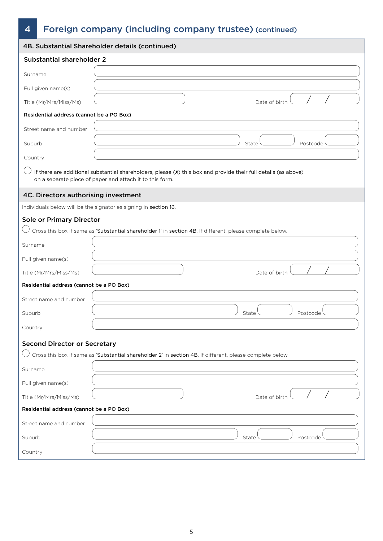# 4 Foreign company (including company trustee) (continued)

|                                          | 4B. Substantial Shareholder details (continued)                                                                                                                             |
|------------------------------------------|-----------------------------------------------------------------------------------------------------------------------------------------------------------------------------|
| Substantial shareholder 2                |                                                                                                                                                                             |
| Surname                                  |                                                                                                                                                                             |
| Full given name(s)                       |                                                                                                                                                                             |
| Title (Mr/Mrs/Miss/Ms)                   | Date of birth                                                                                                                                                               |
| Residential address (cannot be a PO Box) |                                                                                                                                                                             |
| Street name and number                   |                                                                                                                                                                             |
| Suburb                                   | State<br>Postcode                                                                                                                                                           |
| Country                                  |                                                                                                                                                                             |
|                                          | If there are additional substantial shareholders, please (X) this box and provide their full details (as above)<br>on a separate piece of paper and attach it to this form. |
| 4C. Directors authorising investment     |                                                                                                                                                                             |
|                                          | Individuals below will be the signatories signing in section 16.                                                                                                            |
| Sole or Primary Director                 |                                                                                                                                                                             |
|                                          | Cross this box if same as 'Substantial shareholder 1' in section 4B. If different, please complete below.                                                                   |
| Surname                                  |                                                                                                                                                                             |
| Full given name(s)                       |                                                                                                                                                                             |
| Title (Mr/Mrs/Miss/Ms)                   | Date of birth                                                                                                                                                               |
| Residential address (cannot be a PO Box) |                                                                                                                                                                             |
| Street name and number                   |                                                                                                                                                                             |
| Suburb                                   | State<br>Postcode                                                                                                                                                           |
| Country                                  |                                                                                                                                                                             |
| <b>Second Director or Secretary</b>      |                                                                                                                                                                             |
|                                          | Cross this box if same as 'Substantial shareholder 2' in section 4B. If different, please complete below.                                                                   |
| Surname                                  |                                                                                                                                                                             |
| Full given name(s)                       |                                                                                                                                                                             |
| Title (Mr/Mrs/Miss/Ms)                   | Date of birth                                                                                                                                                               |
| Residential address (cannot be a PO Box) |                                                                                                                                                                             |
| Street name and number                   |                                                                                                                                                                             |
| Suburb                                   | State<br>Postcode                                                                                                                                                           |
| Country                                  |                                                                                                                                                                             |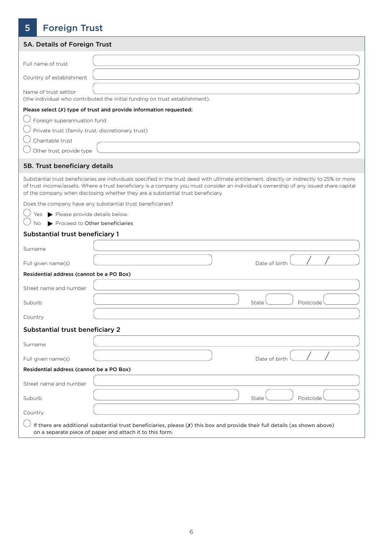# 5 Foreign Trust

| 5A. Details of Foreign Trust                                                                                                                                                                                                                                                                                                                                               |  |
|----------------------------------------------------------------------------------------------------------------------------------------------------------------------------------------------------------------------------------------------------------------------------------------------------------------------------------------------------------------------------|--|
|                                                                                                                                                                                                                                                                                                                                                                            |  |
| Full name of trust                                                                                                                                                                                                                                                                                                                                                         |  |
| Country of establishment                                                                                                                                                                                                                                                                                                                                                   |  |
| Name of trust settlor<br>(the individual who contributed the initial funding on trust establishment).                                                                                                                                                                                                                                                                      |  |
| Please select (X) type of trust and provide information requested:                                                                                                                                                                                                                                                                                                         |  |
| $\bigcup$ Foreign superannuation fund                                                                                                                                                                                                                                                                                                                                      |  |
| Private trust (family trust, discretionary trust)                                                                                                                                                                                                                                                                                                                          |  |
| Charitable trust                                                                                                                                                                                                                                                                                                                                                           |  |
| Other trust, provide type                                                                                                                                                                                                                                                                                                                                                  |  |
| 5B. Trust beneficiary details                                                                                                                                                                                                                                                                                                                                              |  |
| Substantial trust beneficiaries are individuals specified in the trust deed with ultimate entitlement, directly or indirectly to 25% or more<br>of trust income/assets. Where a trust beneficiary is a company you must consider an individual's ownership of any issued share capital<br>of the company when disclosing whether they are a substantial trust beneficiary. |  |
| Does the company have any substantial trust beneficiaries?                                                                                                                                                                                                                                                                                                                 |  |
| Yes Please provide details below.<br>Proceed to Other beneficiaries<br>No                                                                                                                                                                                                                                                                                                  |  |
| Substantial trust beneficiary 1                                                                                                                                                                                                                                                                                                                                            |  |
|                                                                                                                                                                                                                                                                                                                                                                            |  |
| Surname                                                                                                                                                                                                                                                                                                                                                                    |  |
| Date of birth<br>Full given name(s)                                                                                                                                                                                                                                                                                                                                        |  |
| Residential address (cannot be a PO Box)                                                                                                                                                                                                                                                                                                                                   |  |
| Street name and number                                                                                                                                                                                                                                                                                                                                                     |  |
| Suburb<br>State<br>Postcode                                                                                                                                                                                                                                                                                                                                                |  |
| Country                                                                                                                                                                                                                                                                                                                                                                    |  |
| Substantial trust beneficiary 2                                                                                                                                                                                                                                                                                                                                            |  |
| Surname                                                                                                                                                                                                                                                                                                                                                                    |  |
| Date of birth<br>Full given name(s)                                                                                                                                                                                                                                                                                                                                        |  |
| Residential address (cannot be a PO Box)                                                                                                                                                                                                                                                                                                                                   |  |
| Street name and number                                                                                                                                                                                                                                                                                                                                                     |  |
| Suburb<br>State<br>Postcode                                                                                                                                                                                                                                                                                                                                                |  |
| Country                                                                                                                                                                                                                                                                                                                                                                    |  |
| If there are additional substantial trust beneficiaries, please $(X)$ this box and provide their full details (as shown above)<br>on a separate piece of paper and attach it to this form.                                                                                                                                                                                 |  |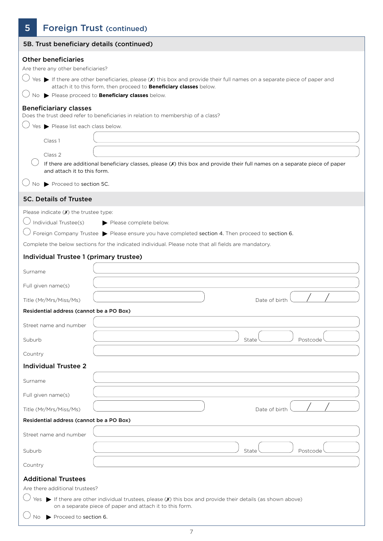# 5 **Foreign Trust (continued)**

| 5B. Trust beneficiary details (continued)                                                                                                                                                                                                                                                                                                                                                                                                                                                                              |
|------------------------------------------------------------------------------------------------------------------------------------------------------------------------------------------------------------------------------------------------------------------------------------------------------------------------------------------------------------------------------------------------------------------------------------------------------------------------------------------------------------------------|
| <b>Other beneficiaries</b><br>Are there any other beneficiaries?<br>Yes $\blacktriangleright$ If there are other beneficiaries, please ( $\chi$ ) this box and provide their full names on a separate piece of paper and<br>attach it to this form, then proceed to <b>Beneficiary classes</b> below.<br>No > Please proceed to Beneficiary classes below.<br><b>Beneficiariary classes</b><br>Does the trust deed refer to beneficiaries in relation to membership of a class?<br>Yes > Please list each class below. |
| Class 1<br>Class 2<br>If there are additional beneficiary classes, please (X) this box and provide their full names on a separate piece of paper<br>and attach it to this form.                                                                                                                                                                                                                                                                                                                                        |
| Proceed to section 5C.<br>No.                                                                                                                                                                                                                                                                                                                                                                                                                                                                                          |
| <b>5C. Details of Trustee</b>                                                                                                                                                                                                                                                                                                                                                                                                                                                                                          |
| Please indicate $(X)$ the trustee type:<br>Individual Trustee(s)<br>Please complete below.<br>Foreign Company Trustee > Please ensure you have completed section 4. Then proceed to section 6.<br>Complete the below sections for the indicated individual. Please note that all fields are mandatory.                                                                                                                                                                                                                 |
| Individual Trustee 1 (primary trustee)                                                                                                                                                                                                                                                                                                                                                                                                                                                                                 |
| Surname                                                                                                                                                                                                                                                                                                                                                                                                                                                                                                                |
| Full given name(s)<br>Title (Mr/Mrs/Miss/Ms)<br>Date of birth                                                                                                                                                                                                                                                                                                                                                                                                                                                          |
| Residential address (cannot be a PO Box)                                                                                                                                                                                                                                                                                                                                                                                                                                                                               |
| Street name and number<br>Suburb<br>State<br>Postcode                                                                                                                                                                                                                                                                                                                                                                                                                                                                  |
| Country                                                                                                                                                                                                                                                                                                                                                                                                                                                                                                                |
| <b>Individual Trustee 2</b><br>Surname                                                                                                                                                                                                                                                                                                                                                                                                                                                                                 |
| Full given name(s)<br>Date of birth<br>Title (Mr/Mrs/Miss/Ms)                                                                                                                                                                                                                                                                                                                                                                                                                                                          |
| Residential address (cannot be a PO Box)                                                                                                                                                                                                                                                                                                                                                                                                                                                                               |
| Street name and number<br>Suburb<br>State<br>Postcode                                                                                                                                                                                                                                                                                                                                                                                                                                                                  |
| Country                                                                                                                                                                                                                                                                                                                                                                                                                                                                                                                |
| <b>Additional Trustees</b><br>Are there additional trustees?<br>Yes $\blacktriangleright$ If there are other individual trustees, please ( $x$ ) this box and provide their details (as shown above)<br>on a separate piece of paper and attach it to this form.<br>Proceed to section 6.<br>No.                                                                                                                                                                                                                       |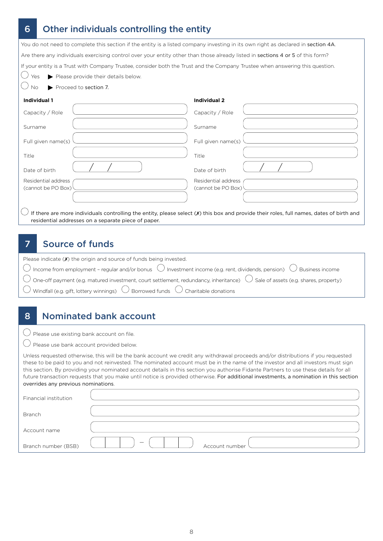# 6 Other individuals controlling the entity

You do not need to complete this section if the entity is a listed company investing in its own right as declared in section 4A. Are there any individuals exercising control over your entity other than those already listed in sections 4 or 5 of this form? If your entity is a Trust with Company Trustee, consider both the Trust and the Company Trustee when answering this question.

- $\bigcirc$  Yes Please provide their details below.
- $\bigcirc$  No  $\bigcirc$  Proceed to section 7.

#### **Individual 1**

| Capacity / Role                           | Capacity / Role                           |
|-------------------------------------------|-------------------------------------------|
| Surname                                   | Surname                                   |
| Full given name(s)                        | Full given name(s)                        |
| Title                                     | Title                                     |
| Date of birth                             | Date of birth                             |
| Residential address<br>(cannot be PO Box) | Residential address<br>(cannot be PO Box) |
| $\curvearrowright$                        |                                           |

**Individual 2**

 $\cup$  If there are more individuals controlling the entity, please select (X) this box and provide their roles, full names, dates of birth and residential addresses on a separate piece of paper.

### 7 Source of funds

| Please indicate $(X)$ the origin and source of funds being invested.                                                                              |
|---------------------------------------------------------------------------------------------------------------------------------------------------|
| $\bigcirc$ Income from employment - regular and/or bonus $\bigcirc$ Investment income (e.g. rent, dividends, pension) $\bigcirc$ Business income  |
| $\bigcirc$ One-off payment (e.g. matured investment, court settlement, redundancy, inheritance) $\bigcirc$ Sale of assets (e.g. shares, property) |
| $\bigcirc$ Windfall (e.g. gift, lottery winnings) $\bigcirc$ Borrowed funds $\bigcirc$ Charitable donations                                       |

# 8 Nominated bank account

 $\bigcirc$  Please use existing bank account on file.

 $\bigcirc$  Please use bank account provided below.

Unless requested otherwise, this will be the bank account we credit any withdrawal proceeds and/or distributions if you requested these to be paid to you and not reinvested. The nominated account must be in the name of the investor and all investors must sign this section. By providing your nominated account details in this section you authorise Fidante Partners to use these details for all future transaction requests that you make until notice is provided otherwise. For additional investments, a nomination in this section overrides any previous nominations.

| Financial institution |                                            |  |
|-----------------------|--------------------------------------------|--|
| Branch                |                                            |  |
| Account name          |                                            |  |
| Branch number (BSB)   | $\overline{\phantom{m}}$<br>Account number |  |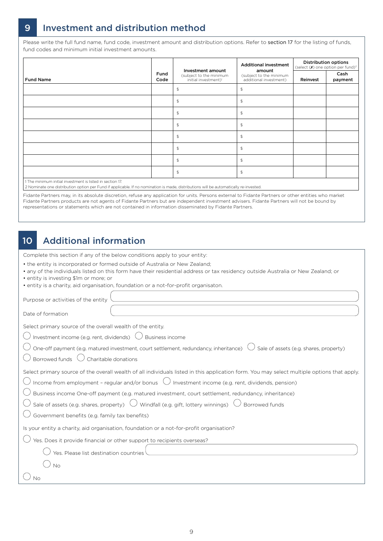# 9 Investment and distribution method

Please write the full fund name, fund code, investment amount and distribution options. Refer to section 17 for the listing of funds, fund codes and minimum initial investment amounts.

|                                                           |              |                                                                                  | <b>Additional investment</b>                                |          | <b>Distribution options</b><br>(select $(X)$ one option per fund) <sup>2</sup> |
|-----------------------------------------------------------|--------------|----------------------------------------------------------------------------------|-------------------------------------------------------------|----------|--------------------------------------------------------------------------------|
| <b>Fund Name</b>                                          | Fund<br>Code | Investment amount<br>(subject to the minimum<br>initial investment) <sup>1</sup> | amount<br>(subject to the minimum<br>additional investment) | Reinvest | Cash<br>payment                                                                |
|                                                           |              | $\mathfrak{P}$                                                                   | $\mathfrak{L}$                                              |          |                                                                                |
|                                                           |              | $\mathfrak{P}$                                                                   | $\mathfrak{P}$                                              |          |                                                                                |
|                                                           |              | $$\mathbb{S}$$                                                                   | $\mathfrak{P}$                                              |          |                                                                                |
|                                                           |              | $\mathfrak{P}$                                                                   | $\mathfrak{P}$                                              |          |                                                                                |
|                                                           |              | $$\mathbb{S}$$                                                                   | $\mathfrak{P}$                                              |          |                                                                                |
|                                                           |              | $\sqrt{2}$                                                                       | $\mathfrak{S}$                                              |          |                                                                                |
|                                                           |              | $\mathfrak{P}$                                                                   | $\mathfrak{P}$                                              |          |                                                                                |
|                                                           |              | $\mathfrak{P}$                                                                   | $\mathfrak{P}$                                              |          |                                                                                |
| 1 The minimum initial investment is listed in section 17. |              |                                                                                  |                                                             |          |                                                                                |

2 Nominate one distribution option per Fund if applicable. If no nomination is made, distributions will be automatically re-invested.

Fidante Partners may, in its absolute discretion, refuse any application for units. Persons external to Fidante Partners or other entities who market Fidante Partners products are not agents of Fidante Partners but are independent investment advisers. Fidante Partners will not be bound by representations or statements which are not contained in information disseminated by Fidante Partners.

### 10 Additional information

Complete this section if any of the below conditions apply to your entity:

- the entity is incorporated or formed outside of Australia or New Zealand;
- any of the individuals listed on this form have their residential address or tax residency outside Australia or New Zealand; or
- entity is investing \$1m or more; or
- entity is a charity, aid organisation, foundation or a not-for-profit organisaton.

Purpose or activities of the entity

Date of formation

Select primary source of the overall wealth of the entity.

 $\bigcirc$  Investment income (e.g. rent, dividends)  $\bigcirc$  Business income

 $\bigcirc$  One-off payment (e.g. matured investment, court settlement, redundancy, inheritance)  $\ \circ$  Sale of assets (e.g. shares, property)

| $\bigcup$ Borrowed funds $\bigcup$ Charitable donations |  |  |
|---------------------------------------------------------|--|--|
|                                                         |  |  |

|  | Select primary source of the overall wealth of all individuals listed in this application form. You may select multiple options that apply. |  |
|--|---------------------------------------------------------------------------------------------------------------------------------------------|--|
|  |                                                                                                                                             |  |
|  |                                                                                                                                             |  |

 $\bigcirc$  Income from employment - regular and/or bonus  $\ \bigcirc$  Investment income (e.g. rent, dividends, pension)

 $\bigcirc$  Business income One-off payment (e.g. matured investment, court settlement, redundancy, inheritance)

 $\bigcirc$  Sale of assets (e.g. shares, property)  $\bigcirc$  Windfall (e.g. gift, lottery winnings)  $\bigcirc$  Borrowed funds

 $\bigcirc$  Government benefits (e.g. family tax benefits)

Is your entity a charity, aid organisation, foundation or a not-for-profit organisation?

| $\bigcup$ Yes. Does it provide financial or other support to recipients overseas? |  |
|-----------------------------------------------------------------------------------|--|
| $\bigcirc$ Yes. Please list destination countries                                 |  |
|                                                                                   |  |
|                                                                                   |  |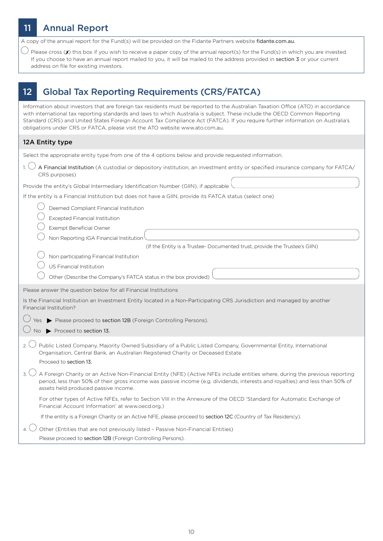### **Annual Report** A copy of the annual report for the Fund(s) will be provided on the Fidante Partners website fidante.com.au.  $\bigcup$  Please cross (X) this box if you wish to receive a paper copy of the annual report(s) for the Fund(s) in which you are invested. If you choose to have an annual report mailed to you, it will be mailed to the address provided in section 3 or your current address on file for existing investors. 12 Global Tax Reporting Requirements (CRS/FATCA) Information about investors that are foreign tax residents must be reported to the Australian Taxation Office (ATO) in accordance with international tax reporting standards and laws to which Australia is subject. These include the OECD Common Reporting Standard (CRS) and United States Foreign Account Tax Compliance Act (FATCA). If you require further information on Australia's obligations under CRS or FATCA, please visit the ATO website www.ato.com.au. 12A Entity type Select the appropriate entity type from one of the 4 options below and provide requested information. 1.  $\bigcirc$  A Financial Institution (A custodial or depository institution, an investment entity or specified insurance company for FATCA/ CRS purposes) Provide the entity's Global Intermediary Identification Number (GIIN), if applicable If the entity is a Financial Institution but does not have a GIIN, provide its FATCA status (select one) Deemed Compliant Financial Institution Excepted Financial Institution Exempt Beneficial Owner Non Reporting IGA Financial Institution (If the Entity is a Trustee- Documented trust, provide the Trustee's GIIN) Non participating Financial Institution US Financial Institution Other (Describe the Company's FATCA status in the box provided) Please answer the question below for all Financial Institutions Is the Financial Institution an Investment Entity located in a Non-Participating CRS Jurisdiction and managed by another Financial Institution?  $\bigcirc$  Yes  $\blacktriangleright$  Please proceed to section 12B (Foreign Controlling Persons).  $\bigcirc$  No  $\triangleright$  Proceed to section 13. 2.  $\cup$  Public Listed Company, Majority Owned Subsidiary of a Public Listed Company, Governmental Entity, International Organisation, Central Bank, an Australian Registered Charity or Deceased Estate. Proceed to section 13.  $3.$  A Foreign Charity or an Active Non-Financial Entity (NFE) (Active NFEs include entities where, during the previous reporting period, less than 50% of their gross income was passive income (e.g. dividends, interests and royalties) and less than 50% of assets held produced passive income. For other types of Active NFEs, refer to Section VIII in the Annexure of the OECD 'Standard for Automatic Exchange of Financial Account Information' at www.oecd.org.) If the entity is a Foreign Charity or an Active NFE, please proceed to section 12C (Country of Tax Residency). 4.  $\bigcirc$  Other (Entities that are not previously listed - Passive Non-Financial Entities)

Please proceed to section 12B (Foreign Controlling Persons).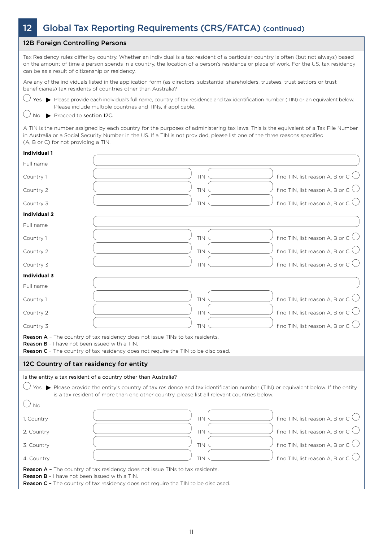# 12 Global Tax Reporting Requirements (CRS/FATCA) (continued)

#### 12B Foreign Controlling Persons

Tax Residency rules differ by country. Whether an individual is a tax resident of a particular country is often (but not always) based on the amount of time a person spends in a country, the location of a person's residence or place of work. For the US, tax residency can be as a result of citizenship or residency.

Are any of the individuals listed in the application form (as directors, substantial shareholders, trustees, trust settlors or trust beneficiaries) tax residents of countries other than Australia?

 $\bigcirc$  Yes  $\blacktriangleright$  Please provide each individual's full name, country of tax residence and tax identification number (TIN) or an equivalent below. Please include multiple countries and TINs, if applicable.

#### $\bigcirc$  No  $\blacktriangleright$  Proceed to section 12C.

A TIN is the number assigned by each country for the purposes of administering tax laws. This is the equivalent of a Tax File Number in Australia or a Social Security Number in the US. If a TIN is not provided, please list one of the three reasons specified (A, B or C) for not providing a TIN.

#### **Individual 1**

| Full name                                     |                                                                                                                                                                                                                                                      |
|-----------------------------------------------|------------------------------------------------------------------------------------------------------------------------------------------------------------------------------------------------------------------------------------------------------|
| Country 1                                     | If no TIN, list reason A, B or C $\bigcirc$<br>TIN                                                                                                                                                                                                   |
| Country 2                                     | If no TIN, list reason A, B or C $\bigcirc$<br><b>TIN</b>                                                                                                                                                                                            |
| Country 3                                     | If no TIN, list reason A, B or C $\bigcirc$<br>TIN                                                                                                                                                                                                   |
| <b>Individual 2</b>                           |                                                                                                                                                                                                                                                      |
| Full name                                     |                                                                                                                                                                                                                                                      |
| Country 1                                     | If no TIN, list reason A, B or C $\bigcirc$<br>TIN                                                                                                                                                                                                   |
| Country 2                                     | If no TIN, list reason A, B or C $\bigcirc$<br><b>TIN</b>                                                                                                                                                                                            |
| Country 3                                     | If no TIN, list reason A, B or C $\bigcirc$<br><b>TIN</b>                                                                                                                                                                                            |
| <b>Individual 3</b>                           |                                                                                                                                                                                                                                                      |
| Full name                                     |                                                                                                                                                                                                                                                      |
| Country 1                                     | If no TIN, list reason A, B or C $\bigcup$<br><b>TIN</b>                                                                                                                                                                                             |
| Country 2                                     | If no TIN, list reason A, B or C $\bigcup$<br>TIN                                                                                                                                                                                                    |
| Country 3                                     | If no TIN, list reason A, B or C $\bigcirc$<br>TIN                                                                                                                                                                                                   |
| Reason B - I have not been issued with a TIN. | <b>Reason A</b> - The country of tax residency does not issue TINs to tax residents.<br>Reason C - The country of tax residency does not require the TIN to be disclosed.                                                                            |
| 12C Country of tax residency for entity       |                                                                                                                                                                                                                                                      |
|                                               | Is the entity a tax resident of a country other than Australia?                                                                                                                                                                                      |
|                                               | Yes $\blacktriangleright$ Please provide the entity's country of tax residence and tax identification number (TIN) or equivalent below. If the entity<br>is a tax resident of more than one other country, please list all relevant countries below. |
| $\bigcirc$ No                                 |                                                                                                                                                                                                                                                      |
| 1. Country                                    | If no TIN, list reason A, B or C $\bigcirc$<br><b>TIN</b>                                                                                                                                                                                            |
| 2. Country                                    | If no TIN, list reason A, B or C $\bigcirc$<br><b>TIN</b>                                                                                                                                                                                            |
| 3. Country                                    | If no TIN, list reason A, B or C $\bigcirc$<br><b>TIN</b>                                                                                                                                                                                            |
| 4. Country                                    | If no TIN, list reason A, B or C $\bigcirc$<br>TIN                                                                                                                                                                                                   |
| Reason B - I have not been issued with a TIN. | Reason A - The country of tax residency does not issue TINs to tax residents.<br>Reason C - The country of tax residency does not require the TIN to be disclosed.                                                                                   |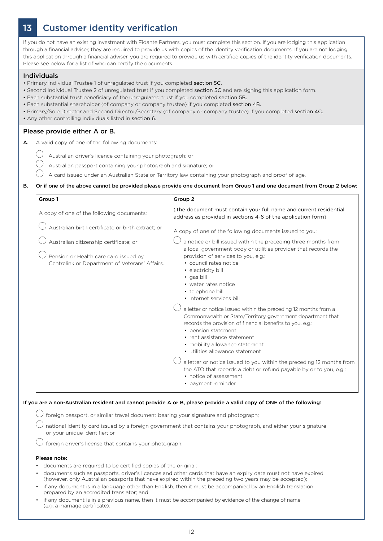# 13 Customer identity verification

If you do not have an existing investment with Fidante Partners, you must complete this section. If you are lodging this application through a financial adviser, they are required to provide us with copies of the identity verification documents. If you are not lodging this application through a financial adviser, you are required to provide us with certified copies of the identity verification documents. Please see below for a list of who can certify the documents.

#### Individuals

- Primary Individual Trustee 1 of unregulated trust if you completed section 5C.
- Second Individual Trustee 2 of unregulated trust if you completed section 5C and are signing this application form.
- Each substantial trust beneficiary of the unregulated trust if you completed section 5B.
- Each substantial shareholder (of company or company trustee) if you completed section 4B.
- Primary/Sole Director and Second Director/Secretary (of company or company trustee) if you completed section 4C.
- Any other controlling individuals listed in section 6.

#### Please provide either A or B.

- A. A valid copy of one of the following documents:
	- $\bigcirc$  Australian driver's licence containing your photograph; or
		- Australian passport containing your photograph and signature; or
		- A card issued under an Australian State or Territory law containing your photograph and proof of age.

#### B. Or if one of the above cannot be provided please provide one document from Group 1 and one document from Group 2 below:

| Group 1                                                                                                                                                                                | Group <sub>2</sub>                                                                                                                                                                                                                                                                                                                                                                                                                                                                                                                                                                                                                                                                                                                                                                                                                                                       |
|----------------------------------------------------------------------------------------------------------------------------------------------------------------------------------------|--------------------------------------------------------------------------------------------------------------------------------------------------------------------------------------------------------------------------------------------------------------------------------------------------------------------------------------------------------------------------------------------------------------------------------------------------------------------------------------------------------------------------------------------------------------------------------------------------------------------------------------------------------------------------------------------------------------------------------------------------------------------------------------------------------------------------------------------------------------------------|
| A copy of one of the following documents:                                                                                                                                              | (The document must contain your full name and current residential<br>address as provided in sections 4-6 of the application form)                                                                                                                                                                                                                                                                                                                                                                                                                                                                                                                                                                                                                                                                                                                                        |
| Australian birth certificate or birth extract; or<br>Australian citizenship certificate; or<br>Pension or Health care card issued by<br>Centrelink or Department of Veterans' Affairs. | A copy of one of the following documents issued to you:<br>a notice or bill issued within the preceding three months from<br>a local government body or utilities provider that records the<br>provision of services to you, e.g.:<br>• council rates notice<br>• electricity bill<br>· gas bill<br>• water rates notice<br>• telephone bill<br>• internet services bill<br>a letter or notice issued within the preceding 12 months from a<br>Commonwealth or State/Territory government department that<br>records the provision of financial benefits to you, e.g.:<br>• pension statement<br>• rent assistance statement<br>• mobility allowance statement<br>• utilities allowance statement<br>a letter or notice issued to you within the preceding 12 months from<br>the ATO that records a debt or refund payable by or to you, e.g.:<br>• notice of assessment |
|                                                                                                                                                                                        | • payment reminder                                                                                                                                                                                                                                                                                                                                                                                                                                                                                                                                                                                                                                                                                                                                                                                                                                                       |

#### If you are a non-Australian resident and cannot provide A or B, please provide a valid copy of ONE of the following:

 $\bigcirc$  foreign passport, or similar travel document bearing your signature and photograph;

national identity card issued by a foreign government that contains your photograph, and either your signature or your unique identifier; or

 $\bigcup$  foreign driver's license that contains your photograph.

#### Please note:

- documents are required to be certified copies of the original;
- documents such as passports, driver's licences and other cards that have an expiry date must not have expired (however, only Australian passports that have expired within the preceding two years may be accepted);
- if any document is in a language other than English, then it must be accompanied by an English translation prepared by an accredited translator; and
- if any document is in a previous name, then it must be accompanied by evidence of the change of name (e.g. a marriage certificate).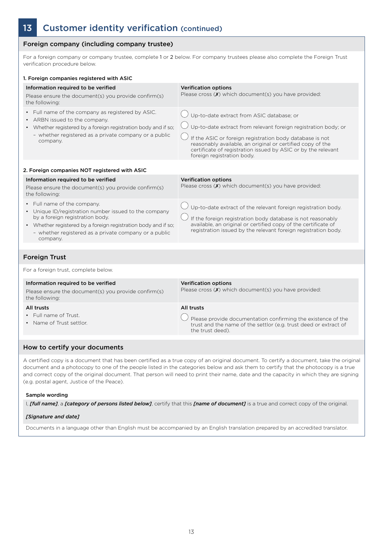# 13 Customer identity verification (continued)

#### Foreign company (including company trustee)

For a foreign company or company trustee, complete 1 or 2 below. For company trustees please also complete the Foreign Trust verification procedure below.

| 1. Foreign companies registered with ASIC                                                                                                                                                                                                                      |                                                                                                                                                                                                                                                                                                                                      |
|----------------------------------------------------------------------------------------------------------------------------------------------------------------------------------------------------------------------------------------------------------------|--------------------------------------------------------------------------------------------------------------------------------------------------------------------------------------------------------------------------------------------------------------------------------------------------------------------------------------|
| Information required to be verified<br>Please ensure the document(s) you provide confirm(s)<br>the following:                                                                                                                                                  | <b>Verification options</b><br>Please cross $(X)$ which document(s) you have provided:                                                                                                                                                                                                                                               |
| • Full name of the company as registered by ASIC.<br>• ARBN issued to the company.<br>• Whether registered by a foreign registration body and if so;<br>- whether registered as a private company or a public<br>company.                                      | Up-to-date extract from ASIC database; or<br>Up-to-date extract from relevant foreign registration body; or<br>If the ASIC or foreign registration body database is not<br>reasonably available, an original or certified copy of the<br>certificate of registration issued by ASIC or by the relevant<br>foreign registration body. |
| 2. Foreign companies NOT registered with ASIC                                                                                                                                                                                                                  |                                                                                                                                                                                                                                                                                                                                      |
| Information required to be verified<br>Please ensure the document(s) you provide confirm(s)<br>the following:                                                                                                                                                  | <b>Verification options</b><br>Please cross $(X)$ which document(s) you have provided:                                                                                                                                                                                                                                               |
| • Full name of the company.<br>• Unique ID/registration number issued to the company<br>by a foreign registration body.<br>• Whether registered by a foreign registration body and if so;<br>- whether registered as a private company or a public<br>company. | Up-to-date extract of the relevant foreign registration body.<br>If the foreign registration body database is not reasonably<br>available, an original or certified copy of the certificate of<br>registration issued by the relevant foreign registration body.                                                                     |
| <b>Foreign Trust</b>                                                                                                                                                                                                                                           |                                                                                                                                                                                                                                                                                                                                      |
| For a foreign trust, complete below.                                                                                                                                                                                                                           |                                                                                                                                                                                                                                                                                                                                      |
| Information required to be verified<br>Please ensure the document(s) you provide confirm(s)<br>the following:                                                                                                                                                  | <b>Verification options</b><br>Please cross $(X)$ which document(s) you have provided:                                                                                                                                                                                                                                               |
| All trusts<br>• Full name of Trust.<br>• Name of Trust settlor.                                                                                                                                                                                                | All trusts<br>Please provide documentation confirming the existence of the<br>trust and the name of the settlor (e.g. trust deed or extract of<br>the trust deed).                                                                                                                                                                   |
| How to certify your documents                                                                                                                                                                                                                                  |                                                                                                                                                                                                                                                                                                                                      |
|                                                                                                                                                                                                                                                                |                                                                                                                                                                                                                                                                                                                                      |

A certified copy is a document that has been certified as a true copy of an original document. To certify a document, take the original document and a photocopy to one of the people listed in the categories below and ask them to certify that the photocopy is a true and correct copy of the original document. That person will need to print their name, date and the capacity in which they are signing (e.g. postal agent, Justice of the Peace).

#### Sample wording

I, *[full name]*, a *[category of persons listed below]*, certify that this *[name of document]* is a true and correct copy of the original.

#### *[Signature and date]*

Documents in a language other than English must be accompanied by an English translation prepared by an accredited translator.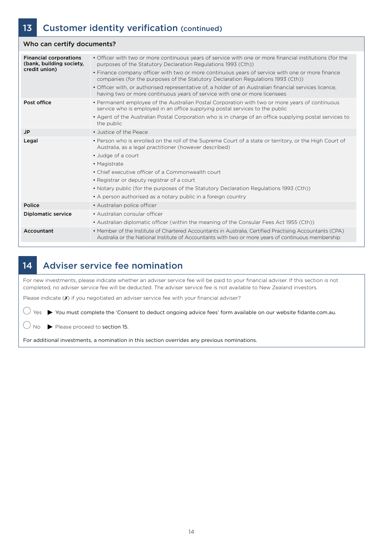| Who can certify documents?                                                 |                                                                                                                                                                                                                                                                                                                                                                                                                                                                                                                                                        |  |
|----------------------------------------------------------------------------|--------------------------------------------------------------------------------------------------------------------------------------------------------------------------------------------------------------------------------------------------------------------------------------------------------------------------------------------------------------------------------------------------------------------------------------------------------------------------------------------------------------------------------------------------------|--|
| <b>Financial corporations</b><br>(bank, building society,<br>credit union) | • Officer with two or more continuous years of service with one or more financial institutions (for the<br>purposes of the Statutory Declaration Regulations 1993 (Cth))<br>• Finance company officer with two or more continuous years of service with one or more finance<br>companies (for the purposes of the Statutory Declaration Regulations 1993 (Cth))<br>• Officer with, or authorised representative of, a holder of an Australian financial services licence,<br>having two or more continuous years of service with one or more licensees |  |
| Post office                                                                | • Permanent employee of the Australian Postal Corporation with two or more years of continuous<br>service who is employed in an office supplying postal services to the public<br>• Agent of the Australian Postal Corporation who is in charge of an office supplying postal services to<br>the public                                                                                                                                                                                                                                                |  |
| <b>JP</b>                                                                  | • Justice of the Peace                                                                                                                                                                                                                                                                                                                                                                                                                                                                                                                                 |  |
| Legal                                                                      | • Person who is enrolled on the roll of the Supreme Court of a state or territory, or the High Court of<br>Australia, as a legal practitioner (however described)<br>• Judge of a court<br>• Magistrate<br>• Chief executive officer of a Commonwealth court<br>• Registrar or deputy registrar of a court<br>• Notary public (for the purposes of the Statutory Declaration Regulations 1993 (Cth))<br>• A person authorised as a notary public in a foreign country                                                                                  |  |
| Police                                                                     | • Australian police officer                                                                                                                                                                                                                                                                                                                                                                                                                                                                                                                            |  |
| <b>Diplomatic service</b>                                                  | • Australian consular officer<br>• Australian diplomatic officer (within the meaning of the Consular Fees Act 1955 (Cth))                                                                                                                                                                                                                                                                                                                                                                                                                              |  |
| Accountant                                                                 | • Member of the Institute of Chartered Accountants in Australia, Certified Practising Accountants (CPA)<br>Australia or the National Institute of Accountants with two or more years of continuous membership                                                                                                                                                                                                                                                                                                                                          |  |

# 14 Adviser service fee nomination

For new investments, please indicate whether an adviser service fee will be paid to your financial adviser. If this section is not completed, no adviser service fee will be deducted. The adviser service fee is not available to New Zealand investors.

Please indicate (X) if you negotiated an adviser service fee with your financial adviser?

 $\bigcirc$  Yes  $\blacktriangleright$  You must complete the 'Consent to deduct ongoing advice fees' form available on our website fidante.com.au.

 $\bigcirc$  No  $\triangleright$  Please proceed to section 15.

For additional investments, a nomination in this section overrides any previous nominations.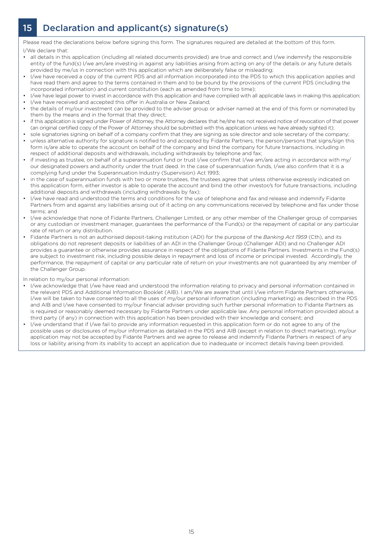# 15 Declaration and applicant(s) signature(s)

Please read the declarations below before signing this form. The signatures required are detailed at the bottom of this form. I/We declare that:

- all details in this application (including all related documents provided) are true and correct and I/we indemnify the responsible entity of the fund(s) I/we am/are investing in against any liabilities arising from acting on any of the details or any future details provided by me/us in connection with this application which are deliberately false or misleading;
- I/we have received a copy of the current PDS and all information incorporated into the PDS to which this application applies and have read them and agree to the terms contained in them and to be bound by the provisions of the current PDS (including the incorporated information) and current constitution (each as amended from time to time);
- I/we have legal power to invest in accordance with this application and have complied with all applicable laws in making this application; I/we have received and accepted this offer in Australia or New Zealand;
- the details of my/our investment can be provided to the adviser group or adviser named at the end of this form or nominated by them by the means and in the format that they direct;
- if this application is signed under Power of Attorney, the Attorney declares that he/she has not received notice of revocation of that power (an original certified copy of the Power of Attorney should be submitted with this application unless we have already sighted it);
- sole signatories signing on behalf of a company confirm that they are signing as sole director and sole secretary of the company;
- unless alternative authority for signature is notified to and accepted by Fidante Partners, the person/persons that signs/sign this form is/are able to operate the account on behalf of the company and bind the company for future transactions, including in respect of additional deposits and withdrawals, including withdrawals by telephone and fax;
- if investing as trustee, on behalf of a superannuation fund or trust I/we confirm that I/we am/are acting in accordance with my/ our designated powers and authority under the trust deed. In the case of superannuation funds, I/we also confirm that it is a complying fund under the Superannuation Industry (Supervision) Act 1993;
- in the case of superannuation funds with two or more trustees, the trustees agree that unless otherwise expressly indicated on this application form, either investor is able to operate the account and bind the other investor/s for future transactions, including additional deposits and withdrawals (including withdrawals by fax);
- I/we have read and understood the terms and conditions for the use of telephone and fax and release and indemnify Fidante Partners from and against any liabilities arising out of it acting on any communications received by telephone and fax under those terms; and
- I/we acknowledge that none of Fidante Partners, Challenger Limited, or any other member of the Challenger group of companies or any custodian or investment manager, guarantees the performance of the Fund(s) or the repayment of capital or any particular rate of return or any distribution.
- Fidante Partners is not an authorised deposit-taking institution (ADI) for the purpose of the *Banking Act 1959* (Cth), and its obligations do not represent deposits or liabilities of an ADI in the Challenger Group (Challenger ADI) and no Challenger ADI provides a guarantee or otherwise provides assurance in respect of the obligations of Fidante Partners. Investments in the Fund(s) are subject to investment risk, including possible delays in repayment and loss of income or principal invested. Accordingly, the performance, the repayment of capital or any particular rate of return on your investments are not guaranteed by any member of the Challenger Group.

#### In relation to my/our personal information:

- I/we acknowledge that I/we have read and understood the information relating to privacy and personal information contained in the relevant PDS and Additional Information Booklet (AIB). I am/We are aware that until I/we inform Fidante Partners otherwise, I/we will be taken to have consented to all the uses of my/our personal information (including marketing) as described in the PDS and AIB and I/we have consented to my/our financial adviser providing such further personal information to Fidante Partners as is required or reasonably deemed necessary by Fidante Partners under applicable law. Any personal information provided about a third party (if any) in connection with this application has been provided with their knowledge and consent; and
- I/we understand that if I/we fail to provide any information requested in this application form or do not agree to any of the possible uses or disclosures of my/our information as detailed in the PDS and AIB (except in relation to direct marketing), my/our application may not be accepted by Fidante Partners and we agree to release and indemnify Fidante Partners in respect of any loss or liability arising from its inability to accept an application due to inadequate or incorrect details having been provided.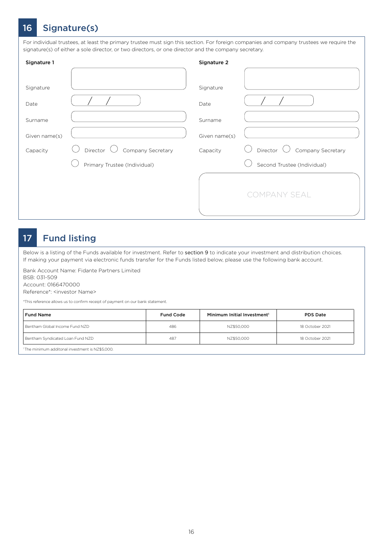# 16 Signature(s)

For individual trustees, at least the primary trustee must sign this section. For foreign companies and company trustees we require the signature(s) of either a sole director, or two directors, or one director and the company secretary.

| Signature 1   |                               | Signature 2   |                               |
|---------------|-------------------------------|---------------|-------------------------------|
|               |                               |               |                               |
| Signature     |                               | Signature     |                               |
| Date          |                               | Date          |                               |
| Surname       |                               | Surname       |                               |
| Given name(s) |                               | Given name(s) |                               |
| Capacity      | Company Secretary<br>Director | Capacity      | Director<br>Company Secretary |
|               | Primary Trustee (Individual)  |               | Second Trustee (Individual)   |
|               |                               |               | <b>COMPANY SEAL</b>           |

### 17 Fund listing

Below is a listing of the Funds available for investment. Refer to section 9 to indicate your investment and distribution choices. If making your payment via electronic funds transfer for the Funds listed below, please use the following bank account.

Bank Account Name: Fidante Partners Limited BSB: 031-509 Account: 0166470000

Reference\*: <investor Name>

\*This reference allows us to confirm receipt of payment on our bank statement.

| <b>Fund Name</b>                 | <b>Fund Code</b> | Minimum Initial Investment <sup>1</sup> | <b>PDS Date</b> |
|----------------------------------|------------------|-----------------------------------------|-----------------|
| Bentham Global Income Fund NZD   | 486              | NZ\$50.000                              | 18 October 2021 |
| Bentham Syndicated Loan Fund NZD | 487              | NZ\$50.000                              | 18 October 2021 |

1 The minimum additonal investment is NZ\$5,000.